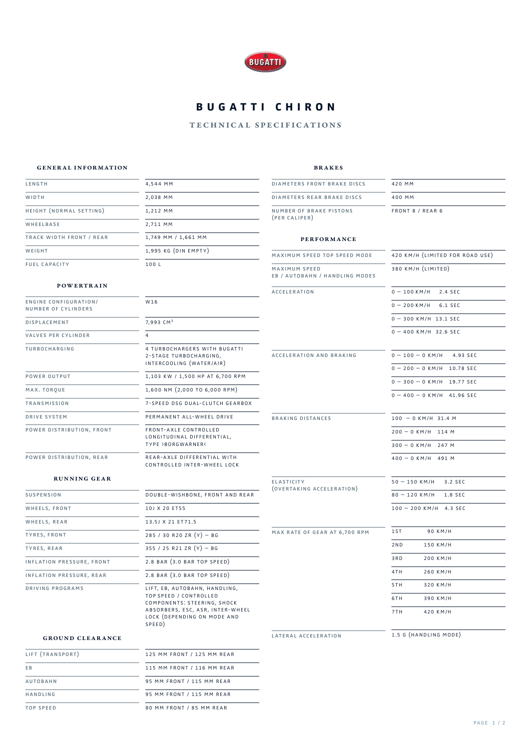

# **BUGATTI CHIRON**

## technical specifications

### general information

brakes

| LENGTH                                              | 4,544 MM                                                                  | <b>DIAMETERS FRONT BRAKE DISCS</b>              | 420 MM                          |
|-----------------------------------------------------|---------------------------------------------------------------------------|-------------------------------------------------|---------------------------------|
| WIDTH                                               | 2,038 MM                                                                  | DIAMETERS REAR BRAKE DISCS                      | 400 MM                          |
| HEIGHT (NORMAL SETTING)                             | 1,212 MM                                                                  | NUMBER OF BRAKE PISTONS                         | FRONT 8 / REAR 6                |
| WHEELBASE                                           | 2,711 MM                                                                  | (PER CALIPER)                                   |                                 |
| TRACK WIDTH FRONT / REAR                            | 1,749 MM / 1,661 MM                                                       | <b>PERFORMANCE</b>                              |                                 |
| WEIGHT                                              | 1,995 KG (DIN EMPTY)                                                      | MAXIMUM SPEED TOP SPEED MODE                    | 420 KM/H (LIMITED FOR ROAD USE) |
| <b>FUEL CAPACITY</b>                                | 100 L                                                                     | MAXIMUM SPEED<br>EB / AUTOBAHN / HANDLING MODES | 380 KM/H (LIMITED)              |
| <b>POWERTRAIN</b>                                   |                                                                           | <b>ACCELERATION</b>                             | $0 - 100$ KM/H 2.4 SEC          |
| <b>ENGINE CONFIGURATION/</b><br>NUMBER OF CYLINDERS | W16                                                                       |                                                 | $0 - 200$ KM/H 6.1 SEC          |
| <b>DISPLACEMENT</b>                                 | 7,993 CM <sup>3</sup>                                                     |                                                 | $0 - 300$ KM/H 13.1 SEC         |
| VALVES PER CYLINDER                                 | 4                                                                         |                                                 | $0 - 400$ KM/H 32.6 SEC         |
| TURBOCHARGING                                       | 4 TURBOCHARGERS WITH BUGATTI                                              |                                                 |                                 |
|                                                     | 2-STAGE TURBOCHARGING,<br>INTERCOOLING (WATER/AIR)                        | ACCELERATION AND BRAKING                        | $0 - 100 - 0$ KM/H<br>4.93 SEC  |
| POWER OUTPUT                                        | 1,103 KW / 1,500 HP AT 6,700 RPM                                          |                                                 | $0 - 200 - 0$ KM/H 10.78 SEC    |
| MAX. TORQUE                                         | $1,600$ NM $(2,000$ TO 6,000 RPM)                                         |                                                 | $0 - 300 - 0$ KM/H 19.77 SEC    |
| TRANSMISSION                                        | 7-SPEED DSG DUAL-CLUTCH GEARBOX                                           |                                                 | $0 - 400 - 0$ KM/H 41.96 SEC    |
| DRIVE SYSTEM                                        | PERMANENT ALL-WHEEL DRIVE                                                 |                                                 |                                 |
|                                                     |                                                                           | <b>BRAKING DISTANCES</b>                        | $100 - 0$ KM/H 31.4 M           |
| POWER DISTRIBUTION, FRONT                           | FRONT-AXLE CONTROLLED<br>LONGITUDINAL DIFFERENTIAL,<br>TYPE >BORGWARNER<  |                                                 | $200 - 0$ KM/H 114 M            |
|                                                     |                                                                           |                                                 | $300 - 0$ KM/H 247 M            |
| POWER DISTRIBUTION, REAR                            | REAR-AXLE DIFFERENTIAL WITH<br>CONTROLLED INTER-WHEEL LOCK                |                                                 | $400 - 0$ KM/H 491 M            |
| <b>RUNNING GEAR</b>                                 |                                                                           | <b>ELASTICITY</b>                               | $50 - 150$ KM/H<br>3.2 SEC      |
| <b>SUSPENSION</b>                                   | DOUBLE-WISHBONE, FRONT AND REAR                                           | (OVERTAKING ACCELERATION)                       | $80 - 120$ KM/H<br>1.8 SEC      |
| WHEELS, FRONT                                       | 10J X 20 ET55                                                             |                                                 | $100 - 200$ KM/H 4.3 SEC        |
| WHEELS, REAR                                        | 13.5J X 21 ET71.5                                                         |                                                 |                                 |
| TYRES, FRONT                                        | 285 / 30 R20 ZR $(Y)$ - BG                                                | MAX RATE OF GEAR AT 6,700 RPM                   | 1ST<br>90 KM/H                  |
| TYRES, REAR                                         | 355 / 25 R21 ZR $(Y)$ - BG                                                |                                                 | 150 KM/H<br>2 N D               |
| INFLATION PRESSURE, FRONT                           | 2.8 BAR (3.0 BAR TOP SPEED)                                               |                                                 | 3RD<br>200 KM/H                 |
| INFLATION PRESSURE, REAR                            | 2.8 BAR (3.0 BAR TOP SPEED)                                               |                                                 | 4TH<br>260 KM/H                 |
| DRIVING PROGRAMS                                    | LIFT, EB, AUTOBAHN, HANDLING,                                             |                                                 | 5TH<br>320 KM/H                 |
|                                                     | TOP SPEED / CONTROLLED<br>COMPONENTS: STEERING, SHOCK                     |                                                 | 6TH<br>390 KM/H                 |
|                                                     | ABSORBERS, ESC, ASR, INTER-WHEEL<br>LOCK (DEPENDING ON MODE AND<br>SPEED) |                                                 | 7TH<br>420 KM/H                 |
| <b>GROUND CLEARANCE</b>                             |                                                                           | LATERAL ACCELERATION                            | 1.5 G (HANDLING MODE)           |
|                                                     |                                                                           |                                                 |                                 |

| LIFT (TRANSPORT) | 125 MM FRONT / 125 MM REAR |
|------------------|----------------------------|
| E <sub>B</sub>   | 115 MM FRONT / 116 MM REAR |
| <b>AUTOBAHN</b>  | 95 MM FRONT / 115 MM REAR  |
| HANDLING         | 95 MM FRONT / 115 MM REAR  |
| TOP SPEED        | 80 MM FRONT / 85 MM REAR   |